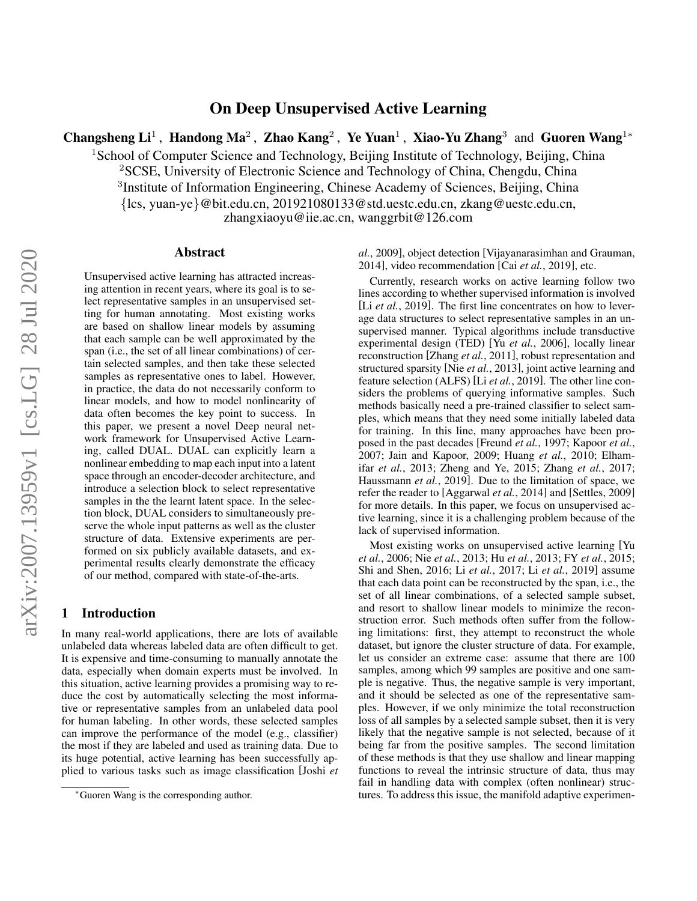# On Deep Unsupervised Active Learning

Changsheng Li<sup>1</sup>, Handong Ma<sup>2</sup>, Zhao Kang<sup>2</sup>, Ye Yuan<sup>1</sup>, Xiao-Yu Zhang<sup>3</sup> and Guoren Wang<sup>1\*</sup>

<sup>1</sup>School of Computer Science and Technology, Beijing Institute of Technology, Beijing, China

<sup>2</sup>SCSE, University of Electronic Science and Technology of China, Chengdu, China

<sup>3</sup>Institute of Information Engineering, Chinese Academy of Sciences, Beijing, China

{lcs, yuan-ye}@bit.edu.cn, 201921080133@std.uestc.edu.cn, zkang@uestc.edu.cn,

zhangxiaoyu@iie.ac.cn, wanggrbit@126.com

## Abstract

Unsupervised active learning has attracted increasing attention in recent years, where its goal is to select representative samples in an unsupervised setting for human annotating. Most existing works are based on shallow linear models by assuming that each sample can be well approximated by the span (i.e., the set of all linear combinations) of certain selected samples, and then take these selected samples as representative ones to label. However, in practice, the data do not necessarily conform to linear models, and how to model nonlinearity of data often becomes the key point to success. In this paper, we present a novel Deep neural network framework for Unsupervised Active Learning, called DUAL. DUAL can explicitly learn a nonlinear embedding to map each input into a latent space through an encoder-decoder architecture, and introduce a selection block to select representative samples in the the learnt latent space. In the selection block, DUAL considers to simultaneously preserve the whole input patterns as well as the cluster structure of data. Extensive experiments are performed on six publicly available datasets, and experimental results clearly demonstrate the efficacy of our method, compared with state-of-the-arts.

## 1 Introduction

In many real-world applications, there are lots of available unlabeled data whereas labeled data are often difficult to get. It is expensive and time-consuming to manually annotate the data, especially when domain experts must be involved. In this situation, active learning provides a promising way to reduce the cost by automatically selecting the most informative or representative samples from an unlabeled data pool for human labeling. In other words, these selected samples can improve the performance of the model (e.g., classifier) the most if they are labeled and used as training data. Due to its huge potential, active learning has been successfully applied to various tasks such as image classification [\[Joshi](#page-6-0) *et* *al.*[, 2009\]](#page-6-0), object detection [\[Vijayanarasimhan and Grauman,](#page-6-1) [2014\]](#page-6-1), video recommendation [Cai *et al.*[, 2019\]](#page-6-2), etc.

Currently, research works on active learning follow two lines according to whether supervised information is involved [Li *et al.*[, 2019\]](#page-6-3). The first line concentrates on how to leverage data structures to select representative samples in an unsupervised manner. Typical algorithms include transductive experimental design (TED) [Yu *et al.*[, 2006\]](#page-6-4), locally linear reconstruction [\[Zhang](#page-6-5) *et al.*, 2011], robust representation and structured sparsity [Nie *et al.*[, 2013\]](#page-6-6), joint active learning and feature selection (ALFS) [Li *et al.*[, 2019\]](#page-6-3). The other line considers the problems of querying informative samples. Such methods basically need a pre-trained classifier to select samples, which means that they need some initially labeled data for training. In this line, many approaches have been proposed in the past decades [\[Freund](#page-6-7) *et al.*, 1997; [Kapoor](#page-6-8) *et al.*, [2007;](#page-6-8) [Jain and Kapoor, 2009;](#page-6-9) Huang *et al.*[, 2010;](#page-6-10) [Elham](#page-6-11)ifar *et al.*[, 2013;](#page-6-11) [Zheng and Ye, 2015;](#page-6-12) Zhang *et al.*[, 2017;](#page-6-13) [Haussmann](#page-6-14) *et al.*, 2019]. Due to the limitation of space, we refer the reader to [\[Aggarwal](#page-6-15) *et al.*, 2014] and [\[Settles, 2009\]](#page-6-16) for more details. In this paper, we focus on unsupervised active learning, since it is a challenging problem because of the lack of supervised information.

Most existing works on unsupervised active learning [\[Yu](#page-6-4) *et al.*[, 2006;](#page-6-4) Nie *et al.*[, 2013;](#page-6-6) Hu *et al.*[, 2013;](#page-6-17) FY *et al.*[, 2015;](#page-6-18) [Shi and Shen, 2016;](#page-6-19) Li *et al.*[, 2017;](#page-6-20) Li *et al.*[, 2019\]](#page-6-3) assume that each data point can be reconstructed by the span, i.e., the set of all linear combinations, of a selected sample subset, and resort to shallow linear models to minimize the reconstruction error. Such methods often suffer from the following limitations: first, they attempt to reconstruct the whole dataset, but ignore the cluster structure of data. For example, let us consider an extreme case: assume that there are 100 samples, among which 99 samples are positive and one sample is negative. Thus, the negative sample is very important, and it should be selected as one of the representative samples. However, if we only minimize the total reconstruction loss of all samples by a selected sample subset, then it is very likely that the negative sample is not selected, because of it being far from the positive samples. The second limitation of these methods is that they use shallow and linear mapping functions to reveal the intrinsic structure of data, thus may fail in handling data with complex (often nonlinear) structures. To address this issue, the manifold adaptive experimen-

<sup>∗</sup>[Guoren Wang is the corresponding author.](#page-6-0)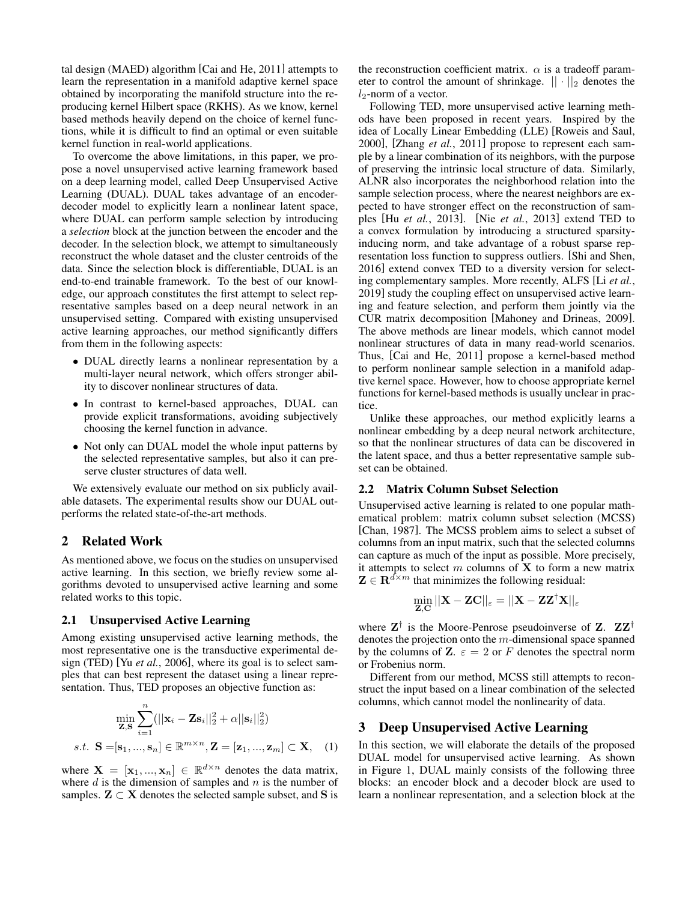tal design (MAED) algorithm [\[Cai and He, 2011\]](#page-6-21) attempts to learn the representation in a manifold adaptive kernel space obtained by incorporating the manifold structure into the reproducing kernel Hilbert space (RKHS). As we know, kernel based methods heavily depend on the choice of kernel functions, while it is difficult to find an optimal or even suitable kernel function in real-world applications.

To overcome the above limitations, in this paper, we propose a novel unsupervised active learning framework based on a deep learning model, called Deep Unsupervised Active Learning (DUAL). DUAL takes advantage of an encoderdecoder model to explicitly learn a nonlinear latent space, where DUAL can perform sample selection by introducing a *selection* block at the junction between the encoder and the decoder. In the selection block, we attempt to simultaneously reconstruct the whole dataset and the cluster centroids of the data. Since the selection block is differentiable, DUAL is an end-to-end trainable framework. To the best of our knowledge, our approach constitutes the first attempt to select representative samples based on a deep neural network in an unsupervised setting. Compared with existing unsupervised active learning approaches, our method significantly differs from them in the following aspects:

- DUAL directly learns a nonlinear representation by a multi-layer neural network, which offers stronger ability to discover nonlinear structures of data.
- In contrast to kernel-based approaches, DUAL can provide explicit transformations, avoiding subjectively choosing the kernel function in advance.
- Not only can DUAL model the whole input patterns by the selected representative samples, but also it can preserve cluster structures of data well.

We extensively evaluate our method on six publicly available datasets. The experimental results show our DUAL outperforms the related state-of-the-art methods.

## 2 Related Work

As mentioned above, we focus on the studies on unsupervised active learning. In this section, we briefly review some algorithms devoted to unsupervised active learning and some related works to this topic.

#### 2.1 Unsupervised Active Learning

Among existing unsupervised active learning methods, the most representative one is the transductive experimental design (TED) [Yu *et al.*[, 2006\]](#page-6-4), where its goal is to select samples that can best represent the dataset using a linear representation. Thus, TED proposes an objective function as:

$$
\min_{\mathbf{Z}, \mathbf{S}} \sum_{i=1}^{n} (||\mathbf{x}_i - \mathbf{Z} \mathbf{s}_i||_2^2 + \alpha ||\mathbf{s}_i||_2^2)
$$
  
s.t. 
$$
\mathbf{S} = [\mathbf{s}_1, ..., \mathbf{s}_n] \in \mathbb{R}^{m \times n}, \mathbf{Z} = [\mathbf{z}_1, ..., \mathbf{z}_m] \subset \mathbf{X}, \quad (1)
$$

where  $X = [\mathbf{x}_1, ..., \mathbf{x}_n] \in \mathbb{R}^{d \times n}$  denotes the data matrix, where  $d$  is the dimension of samples and  $n$  is the number of samples.  $\mathbf{Z} \subset \mathbf{X}$  denotes the selected sample subset, and S is the reconstruction coefficient matrix.  $\alpha$  is a tradeoff parameter to control the amount of shrinkage.  $|| \cdot ||_2$  denotes the  $l_2$ -norm of a vector.

Following TED, more unsupervised active learning methods have been proposed in recent years. Inspired by the idea of Locally Linear Embedding (LLE) [\[Roweis and Saul,](#page-6-22) [2000\]](#page-6-22), [Zhang *et al.*[, 2011\]](#page-6-5) propose to represent each sample by a linear combination of its neighbors, with the purpose of preserving the intrinsic local structure of data. Similarly, ALNR also incorporates the neighborhood relation into the sample selection process, where the nearest neighbors are expected to have stronger effect on the reconstruction of samples [Hu *et al.*[, 2013\]](#page-6-17). [Nie *et al.*[, 2013\]](#page-6-6) extend TED to a convex formulation by introducing a structured sparsityinducing norm, and take advantage of a robust sparse representation loss function to suppress outliers. [\[Shi and Shen,](#page-6-19) [2016\]](#page-6-19) extend convex TED to a diversity version for selecting complementary samples. More recently, ALFS [Li *[et al.](#page-6-3)*, [2019\]](#page-6-3) study the coupling effect on unsupervised active learning and feature selection, and perform them jointly via the CUR matrix decomposition [\[Mahoney and Drineas, 2009\]](#page-6-23). The above methods are linear models, which cannot model nonlinear structures of data in many read-world scenarios. Thus, [\[Cai and He, 2011\]](#page-6-21) propose a kernel-based method to perform nonlinear sample selection in a manifold adaptive kernel space. However, how to choose appropriate kernel functions for kernel-based methods is usually unclear in practice.

Unlike these approaches, our method explicitly learns a nonlinear embedding by a deep neural network architecture, so that the nonlinear structures of data can be discovered in the latent space, and thus a better representative sample subset can be obtained.

## 2.2 Matrix Column Subset Selection

Unsupervised active learning is related to one popular mathematical problem: matrix column subset selection (MCSS) [\[Chan, 1987\]](#page-6-24). The MCSS problem aims to select a subset of columns from an input matrix, such that the selected columns can capture as much of the input as possible. More precisely, it attempts to select  $m$  columns of  $X$  to form a new matrix  $\mathbf{Z} \in \mathbb{R}^{d \times m}$  that minimizes the following residual:

$$
\min_{\mathbf{Z}, \mathbf{C}} ||\mathbf{X} - \mathbf{Z} \mathbf{C}||_{\varepsilon} = ||\mathbf{X} - \mathbf{Z} \mathbf{Z}^{\dagger} \mathbf{X}||_{\varepsilon}
$$

where  $Z^{\dagger}$  is the Moore-Penrose pseudoinverse of Z.  $ZZ^{\dagger}$ denotes the projection onto the m-dimensional space spanned by the columns of **Z**.  $\varepsilon = 2$  or F denotes the spectral norm or Frobenius norm.

Different from our method, MCSS still attempts to reconstruct the input based on a linear combination of the selected columns, which cannot model the nonlinearity of data.

## 3 Deep Unsupervised Active Learning

In this section, we will elaborate the details of the proposed DUAL model for unsupervised active learning. As shown in Figure [1,](#page-2-0) DUAL mainly consists of the following three blocks: an encoder block and a decoder block are used to learn a nonlinear representation, and a selection block at the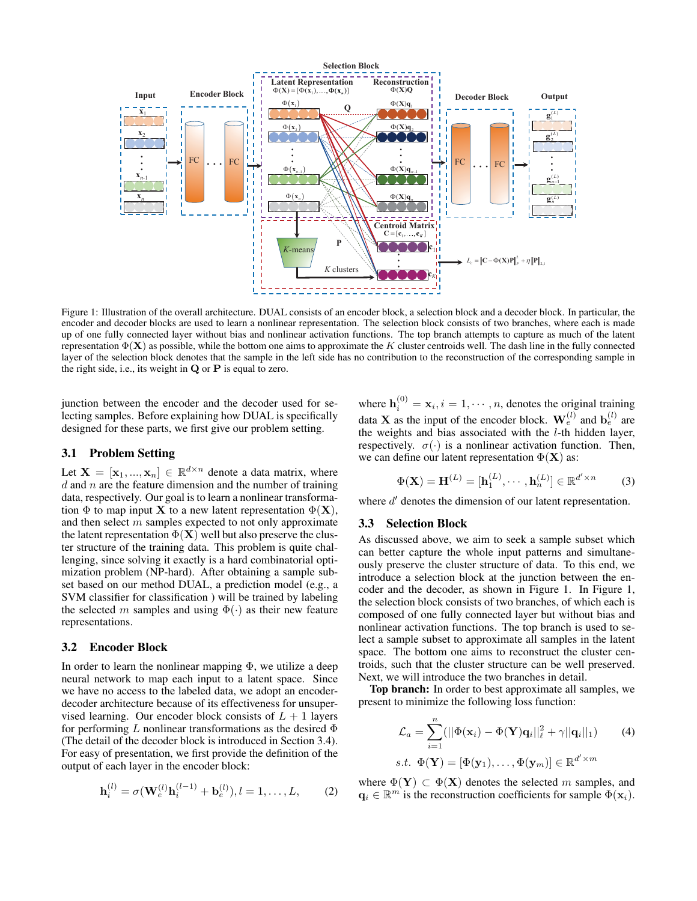<span id="page-2-0"></span>

Figure 1: Illustration of the overall architecture. DUAL consists of an encoder block, a selection block and a decoder block. In particular, the encoder and decoder blocks are used to learn a nonlinear representation. The selection block consists of two branches, where each is made up of one fully connected layer without bias and nonlinear activation functions. The top branch attempts to capture as much of the latent representation  $\Phi(\mathbf{X})$  as possible, while the bottom one aims to approximate the K cluster centroids well. The dash line in the fully connected layer of the selection block denotes that the sample in the left side has no contribution to the reconstruction of the corresponding sample in the right side, i.e., its weight in Q or P is equal to zero.

junction between the encoder and the decoder used for selecting samples. Before explaining how DUAL is specifically designed for these parts, we first give our problem setting.

## 3.1 Problem Setting

Let  $X = [x_1, ..., x_n] \in \mathbb{R}^{d \times n}$  denote a data matrix, where  $d$  and  $n$  are the feature dimension and the number of training data, respectively. Our goal is to learn a nonlinear transformation  $\Phi$  to map input **X** to a new latent representation  $\Phi(\mathbf{X})$ , and then select m samples expected to not only approximate the latent representation  $\Phi(\mathbf{X})$  well but also preserve the cluster structure of the training data. This problem is quite challenging, since solving it exactly is a hard combinatorial optimization problem (NP-hard). After obtaining a sample subset based on our method DUAL, a prediction model (e.g., a SVM classifier for classification ) will be trained by labeling the selected m samples and using  $\Phi(\cdot)$  as their new feature representations.

### 3.2 Encoder Block

In order to learn the nonlinear mapping  $\Phi$ , we utilize a deep neural network to map each input to a latent space. Since we have no access to the labeled data, we adopt an encoderdecoder architecture because of its effectiveness for unsupervised learning. Our encoder block consists of  $L + 1$  layers for performing L nonlinear transformations as the desired  $\Phi$ (The detail of the decoder block is introduced in Section [3.4\)](#page-3-0). For easy of presentation, we first provide the definition of the output of each layer in the encoder block:

$$
\mathbf{h}_{i}^{(l)} = \sigma(\mathbf{W}_{e}^{(l)}\mathbf{h}_{i}^{(l-1)} + \mathbf{b}_{e}^{(l)}), l = 1, ..., L,
$$
 (2)

where  $\mathbf{h}_i^{(0)} = \mathbf{x}_i, i = 1, \cdots, n$ , denotes the original training data **X** as the input of the encoder block.  $\mathbf{W}_e^{(l)}$  and  $\mathbf{b}_e^{(l)}$  are the weights and bias associated with the  $l$ -th hidden layer, respectively.  $\sigma(\cdot)$  is a nonlinear activation function. Then, we can define our latent representation  $\Phi(X)$  as:

$$
\Phi(\mathbf{X}) = \mathbf{H}^{(L)} = [\mathbf{h}_1^{(L)}, \cdots, \mathbf{h}_n^{(L)}] \in \mathbb{R}^{d' \times n}
$$
 (3)

where  $d'$  denotes the dimension of our latent representation.

#### 3.3 Selection Block

As discussed above, we aim to seek a sample subset which can better capture the whole input patterns and simultaneously preserve the cluster structure of data. To this end, we introduce a selection block at the junction between the encoder and the decoder, as shown in Figure [1.](#page-2-0) In Figure [1,](#page-2-0) the selection block consists of two branches, of which each is composed of one fully connected layer but without bias and nonlinear activation functions. The top branch is used to select a sample subset to approximate all samples in the latent space. The bottom one aims to reconstruct the cluster centroids, such that the cluster structure can be well preserved. Next, we will introduce the two branches in detail.

Top branch: In order to best approximate all samples, we present to minimize the following loss function:

<span id="page-2-1"></span>
$$
\mathcal{L}_a = \sum_{i=1}^n (||\Phi(\mathbf{x}_i) - \Phi(\mathbf{Y})\mathbf{q}_i||_\ell^2 + \gamma ||\mathbf{q}_i||_1)
$$
(4)  
s.t.  $\Phi(\mathbf{Y}) = [\Phi(\mathbf{y}_1), \dots, \Phi(\mathbf{y}_m)] \in \mathbb{R}^{d' \times m}$ 

where  $\Phi(Y) \subset \Phi(X)$  denotes the selected m samples, and  $\mathbf{q}_i \in \mathbb{R}^m$  is the reconstruction coefficients for sample  $\Phi(\mathbf{x}_i)$ .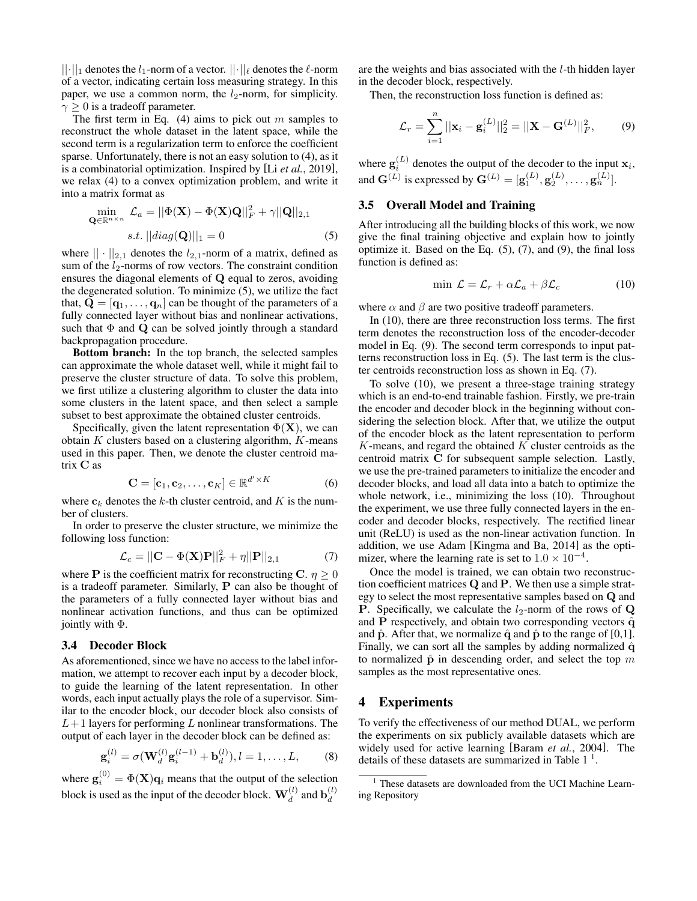$||\cdot||_1$  denotes the  $l_1$ -norm of a vector.  $||\cdot||_\ell$  denotes the  $\ell$ -norm of a vector, indicating certain loss measuring strategy. In this paper, we use a common norm, the  $l_2$ -norm, for simplicity.  $\gamma \geq 0$  is a tradeoff parameter.

The first term in Eq.  $(4)$  aims to pick out m samples to reconstruct the whole dataset in the latent space, while the second term is a regularization term to enforce the coefficient sparse. Unfortunately, there is not an easy solution to [\(4\)](#page-2-1), as it is a combinatorial optimization. Inspired by [Li *et al.*[, 2019\]](#page-6-3), we relax [\(4\)](#page-2-1) to a convex optimization problem, and write it into a matrix format as

$$
\min_{\mathbf{Q} \in \mathbb{R}^{n \times n}} \mathcal{L}_a = ||\Phi(\mathbf{X}) - \Phi(\mathbf{X})\mathbf{Q}||_F^2 + \gamma ||\mathbf{Q}||_{2,1}
$$
  
s.t.  $||diag(\mathbf{Q})||_1 = 0$  (5)

where  $|| \cdot ||_{2,1}$  denotes the  $l_{2,1}$ -norm of a matrix, defined as sum of the  $l_2$ -norms of row vectors. The constraint condition ensures the diagonal elements of Q equal to zeros, avoiding the degenerated solution. To minimize [\(5\)](#page-3-1), we utilize the fact that,  $\mathbf{Q} = [\mathbf{q}_1, \dots, \mathbf{q}_n]$  can be thought of the parameters of a fully connected layer without bias and nonlinear activations, such that  $\Phi$  and  $\mathbf Q$  can be solved jointly through a standard backpropagation procedure.

Bottom branch: In the top branch, the selected samples can approximate the whole dataset well, while it might fail to preserve the cluster structure of data. To solve this problem, we first utilize a clustering algorithm to cluster the data into some clusters in the latent space, and then select a sample subset to best approximate the obtained cluster centroids.

Specifically, given the latent representation  $\Phi(X)$ , we can obtain  $K$  clusters based on a clustering algorithm,  $K$ -means used in this paper. Then, we denote the cluster centroid matrix C as

$$
\mathbf{C} = [\mathbf{c}_1, \mathbf{c}_2, \dots, \mathbf{c}_K] \in \mathbb{R}^{d' \times K}
$$
 (6)

where  $c_k$  denotes the k-th cluster centroid, and K is the number of clusters.

In order to preserve the cluster structure, we minimize the following loss function:

$$
\mathcal{L}_c = ||\mathbf{C} - \Phi(\mathbf{X})\mathbf{P}||_F^2 + \eta ||\mathbf{P}||_{2,1} \tag{7}
$$

where **P** is the coefficient matrix for reconstructing C.  $\eta \ge 0$ is a tradeoff parameter. Similarly, P can also be thought of the parameters of a fully connected layer without bias and nonlinear activation functions, and thus can be optimized jointly with Φ.

### <span id="page-3-0"></span>3.4 Decoder Block

As aforementioned, since we have no access to the label information, we attempt to recover each input by a decoder block, to guide the learning of the latent representation. In other words, each input actually plays the role of a supervisor. Similar to the encoder block, our decoder block also consists of  $L+1$  layers for performing L nonlinear transformations. The output of each layer in the decoder block can be defined as:

$$
\mathbf{g}_i^{(l)} = \sigma(\mathbf{W}_d^{(l)} \mathbf{g}_i^{(l-1)} + \mathbf{b}_d^{(l)}), l = 1, ..., L,
$$
 (8)

where  $\mathbf{g}_i^{(0)} = \Phi(\mathbf{X}) \mathbf{q}_i$  means that the output of the selection block is used as the input of the decoder block.  $\mathbf{W}_d^{(l)}$  and  $\mathbf{b}_d^{(l)}$ d

are the weights and bias associated with the l-th hidden layer in the decoder block, respectively.

Then, the reconstruction loss function is defined as:

<span id="page-3-3"></span>
$$
\mathcal{L}_r = \sum_{i=1}^n ||\mathbf{x}_i - \mathbf{g}_i^{(L)}||_2^2 = ||\mathbf{X} - \mathbf{G}^{(L)}||_F^2, \qquad (9)
$$

where  $\mathbf{g}_i^{(L)}$  denotes the output of the decoder to the input  $\mathbf{x}_i$ , where  $\mathbf{g}_i$  denotes the output of the decoder to the input<br>and  $\mathbf{G}^{(L)}$  is expressed by  $\mathbf{G}^{(L)} = [\mathbf{g}_1^{(L)}, \mathbf{g}_2^{(L)}, \dots, \mathbf{g}_n^{(L)}]$ .

## 3.5 Overall Model and Training

<span id="page-3-1"></span>After introducing all the building blocks of this work, we now give the final training objective and explain how to jointly optimize it. Based on the Eq. [\(5\)](#page-3-1), [\(7\)](#page-3-2), and [\(9\)](#page-3-3), the final loss function is defined as:

<span id="page-3-4"></span>
$$
\min \mathcal{L} = \mathcal{L}_r + \alpha \mathcal{L}_a + \beta \mathcal{L}_c \tag{10}
$$

where  $\alpha$  and  $\beta$  are two positive tradeoff parameters.

In [\(10\)](#page-3-4), there are three reconstruction loss terms. The first term denotes the reconstruction loss of the encoder-decoder model in Eq. [\(9\)](#page-3-3). The second term corresponds to input patterns reconstruction loss in Eq. [\(5\)](#page-3-1). The last term is the cluster centroids reconstruction loss as shown in Eq. [\(7\)](#page-3-2).

To solve [\(10\)](#page-3-4), we present a three-stage training strategy which is an end-to-end trainable fashion. Firstly, we pre-train the encoder and decoder block in the beginning without considering the selection block. After that, we utilize the output of the encoder block as the latent representation to perform  $K$ -means, and regard the obtained  $K$  cluster centroids as the centroid matrix C for subsequent sample selection. Lastly, we use the pre-trained parameters to initialize the encoder and decoder blocks, and load all data into a batch to optimize the whole network, i.e., minimizing the loss [\(10\)](#page-3-4). Throughout the experiment, we use three fully connected layers in the encoder and decoder blocks, respectively. The rectified linear unit (ReLU) is used as the non-linear activation function. In addition, we use Adam [\[Kingma and Ba, 2014\]](#page-6-25) as the optimizer, where the learning rate is set to  $1.0 \times 10^{-4}$ .

<span id="page-3-2"></span>Once the model is trained, we can obtain two reconstruction coefficient matrices Q and P. We then use a simple strategy to select the most representative samples based on Q and **P**. Specifically, we calculate the  $l_2$ -norm of the rows of **Q**. and P respectively, and obtain two corresponding vectors  $\hat{q}$ and  $\hat{p}$ . After that, we normalize  $\hat{q}$  and  $\hat{p}$  to the range of [0,1]. Finally, we can sort all the samples by adding normalized  $\hat{q}$ to normalized  $\hat{p}$  in descending order, and select the top m samples as the most representative ones.

## 4 Experiments

To verify the effectiveness of our method DUAL, we perform the experiments on six publicly available datasets which are widely used for active learning [\[Baram](#page-6-26) *et al.*, 2004]. The details of these datasets are summarized in Table  $1<sup>1</sup>$  $1<sup>1</sup>$ .

<span id="page-3-5"></span><sup>&</sup>lt;sup>1</sup> These datasets are downloaded from the UCI Machine Learning Repository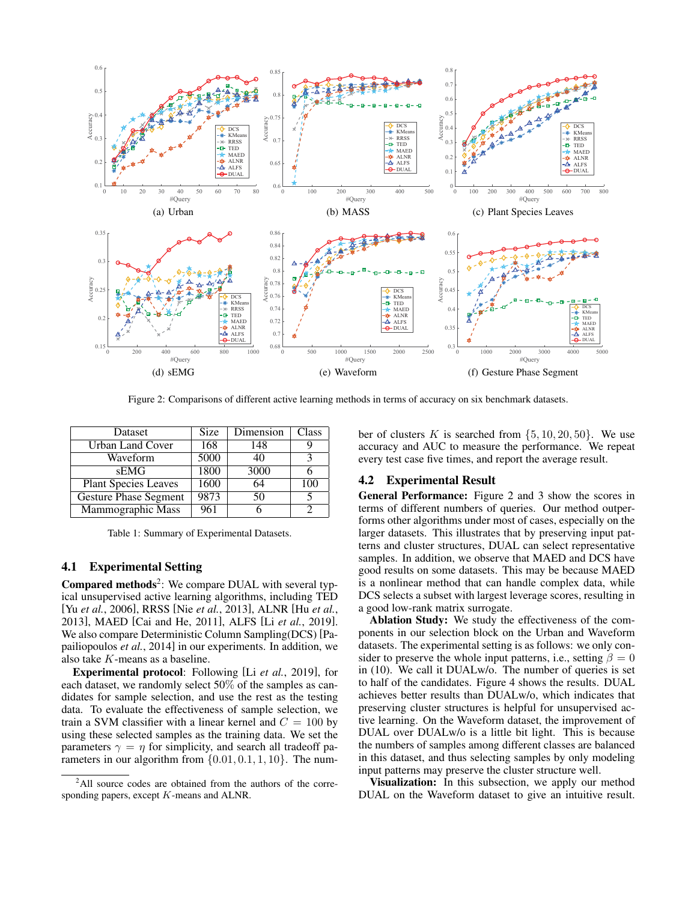<span id="page-4-2"></span>

Figure 2: Comparisons of different active learning methods in terms of accuracy on six benchmark datasets.

<span id="page-4-0"></span>

| Dataset                     | Size | Dimension | Class |
|-----------------------------|------|-----------|-------|
| Urban Land Cover            | 168  | 148       |       |
| Waveform                    | 5000 | 40        | 2     |
| sEMG                        | 1800 | 3000      |       |
| <b>Plant Species Leaves</b> | 1600 | 64        | 100   |
| Gesture Phase Segment       | 9873 | 50        |       |
| Mammographic Mass           | 961  |           |       |

Table 1: Summary of Experimental Datasets.

### 4.1 Experimental Setting

Compared methods<sup>[2](#page-4-1)</sup>: We compare DUAL with several typical unsupervised active learning algorithms, including TED [Yu *et al.*[, 2006\]](#page-6-4), RRSS [Nie *et al.*[, 2013\]](#page-6-6), ALNR [Hu *[et al.](#page-6-17)*, [2013\]](#page-6-17), MAED [\[Cai and He, 2011\]](#page-6-21), ALFS [Li *et al.*[, 2019\]](#page-6-3). We also compare Deterministic Column Sampling(DCS) [\[Pa](#page-6-27)[pailiopoulos](#page-6-27) *et al.*, 2014] in our experiments. In addition, we also take K-means as a baseline.

Experimental protocol: Following [Li *et al.*[, 2019\]](#page-6-3), for each dataset, we randomly select 50% of the samples as candidates for sample selection, and use the rest as the testing data. To evaluate the effectiveness of sample selection, we train a SVM classifier with a linear kernel and  $C = 100$  by using these selected samples as the training data. We set the parameters  $\gamma = \eta$  for simplicity, and search all tradeoff parameters in our algorithm from  $\{0.01, 0.1, 1, 10\}$ . The number of clusters K is searched from  $\{5, 10, 20, 50\}$ . We use accuracy and AUC to measure the performance. We repeat every test case five times, and report the average result.

### 4.2 Experimental Result

General Performance: Figure [2](#page-4-2) and [3](#page-5-0) show the scores in terms of different numbers of queries. Our method outperforms other algorithms under most of cases, especially on the larger datasets. This illustrates that by preserving input patterns and cluster structures, DUAL can select representative samples. In addition, we observe that MAED and DCS have good results on some datasets. This may be because MAED is a nonlinear method that can handle complex data, while DCS selects a subset with largest leverage scores, resulting in a good low-rank matrix surrogate.

Ablation Study: We study the effectiveness of the components in our selection block on the Urban and Waveform datasets. The experimental setting is as follows: we only consider to preserve the whole input patterns, i.e., setting  $\beta = 0$ in [\(10\)](#page-3-4). We call it DUALw/o. The number of queries is set to half of the candidates. Figure [4](#page-5-1) shows the results. DUAL achieves better results than DUALw/o, which indicates that preserving cluster structures is helpful for unsupervised active learning. On the Waveform dataset, the improvement of DUAL over DUALw/o is a little bit light. This is because the numbers of samples among different classes are balanced in this dataset, and thus selecting samples by only modeling input patterns may preserve the cluster structure well.

Visualization: In this subsection, we apply our method DUAL on the Waveform dataset to give an intuitive result.

<span id="page-4-1"></span><sup>&</sup>lt;sup>2</sup>All source codes are obtained from the authors of the corresponding papers, except K-means and ALNR.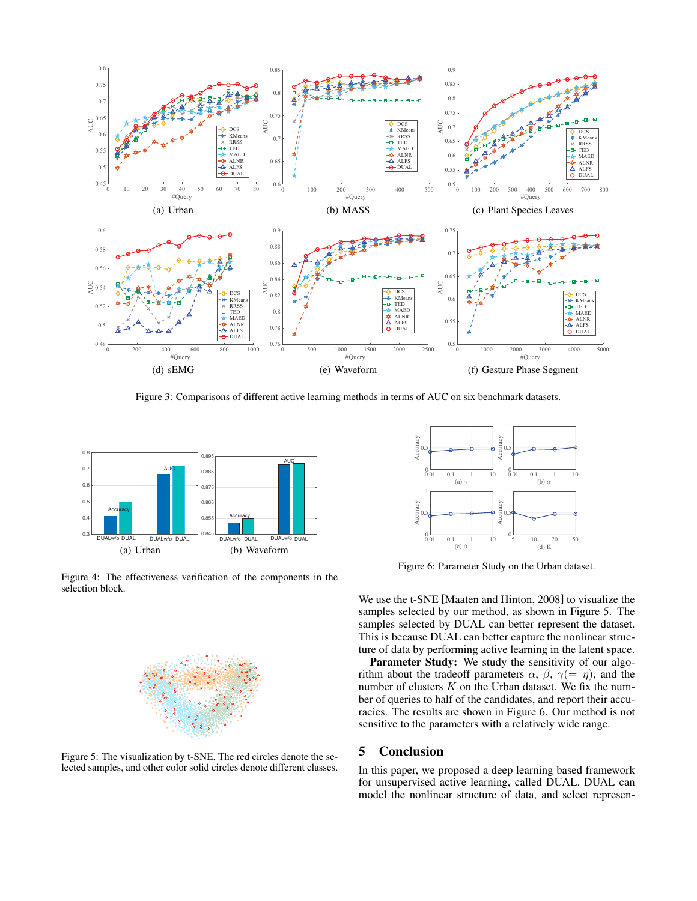<span id="page-5-0"></span>

Figure 3: Comparisons of different active learning methods in terms of AUC on six benchmark datasets.

<span id="page-5-1"></span>

Figure 4: The effectiveness verification of the components in the selection block.

<span id="page-5-2"></span>

Figure 5: The visualization by t-SNE. The red circles denote the selected samples, and other color solid circles denote different classes.

<span id="page-5-3"></span>

Figure 6: Parameter Study on the Urban dataset.

We use the t-SNE [\[Maaten and Hinton, 2008\]](#page-6-28) to visualize the samples selected by our method, as shown in Figure [5.](#page-5-2) The samples selected by DUAL can better represent the dataset. This is because DUAL can better capture the nonlinear structure of data by performing active learning in the latent space.

Parameter Study: We study the sensitivity of our algorithm about the tradeoff parameters  $\alpha$ ,  $\beta$ ,  $\gamma$ (=  $\eta$ ), and the number of clusters  $K$  on the Urban dataset. We fix the number of queries to half of the candidates, and report their accuracies. The results are shown in Figure [6.](#page-5-3) Our method is not sensitive to the parameters with a relatively wide range.

## 5 Conclusion

In this paper, we proposed a deep learning based framework for unsupervised active learning, called DUAL. DUAL can model the nonlinear structure of data, and select represen